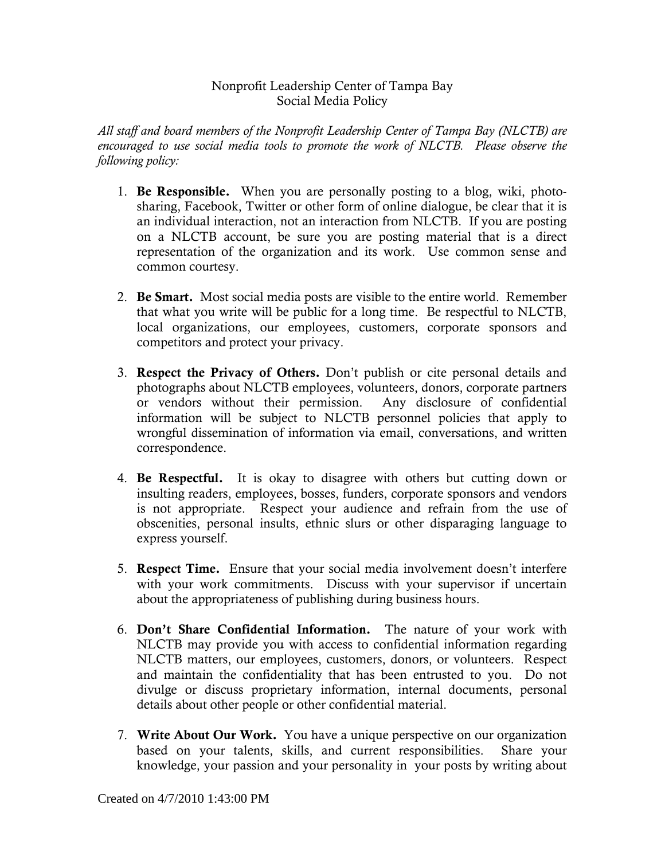## Nonprofit Leadership Center of Tampa Bay Social Media Policy

*All staff and board members of the Nonprofit Leadership Center of Tampa Bay (NLCTB) are encouraged to use social media tools to promote the work of NLCTB. Please observe the following policy:* 

- 1. Be Responsible. When you are personally posting to a blog, wiki, photosharing, Facebook, Twitter or other form of online dialogue, be clear that it is an individual interaction, not an interaction from NLCTB. If you are posting on a NLCTB account, be sure you are posting material that is a direct representation of the organization and its work. Use common sense and common courtesy.
- 2. Be Smart. Most social media posts are visible to the entire world. Remember that what you write will be public for a long time. Be respectful to NLCTB, local organizations, our employees, customers, corporate sponsors and competitors and protect your privacy.
- 3. Respect the Privacy of Others. Don't publish or cite personal details and photographs about NLCTB employees, volunteers, donors, corporate partners or vendors without their permission. Any disclosure of confidential information will be subject to NLCTB personnel policies that apply to wrongful dissemination of information via email, conversations, and written correspondence.
- 4. Be Respectful. It is okay to disagree with others but cutting down or insulting readers, employees, bosses, funders, corporate sponsors and vendors is not appropriate. Respect your audience and refrain from the use of obscenities, personal insults, ethnic slurs or other disparaging language to express yourself.
- 5. Respect Time. Ensure that your social media involvement doesn't interfere with your work commitments. Discuss with your supervisor if uncertain about the appropriateness of publishing during business hours.
- 6. Don't Share Confidential Information. The nature of your work with NLCTB may provide you with access to confidential information regarding NLCTB matters, our employees, customers, donors, or volunteers. Respect and maintain the confidentiality that has been entrusted to you. Do not divulge or discuss proprietary information, internal documents, personal details about other people or other confidential material.
- 7. Write About Our Work. You have a unique perspective on our organization based on your talents, skills, and current responsibilities. Share your knowledge, your passion and your personality in your posts by writing about